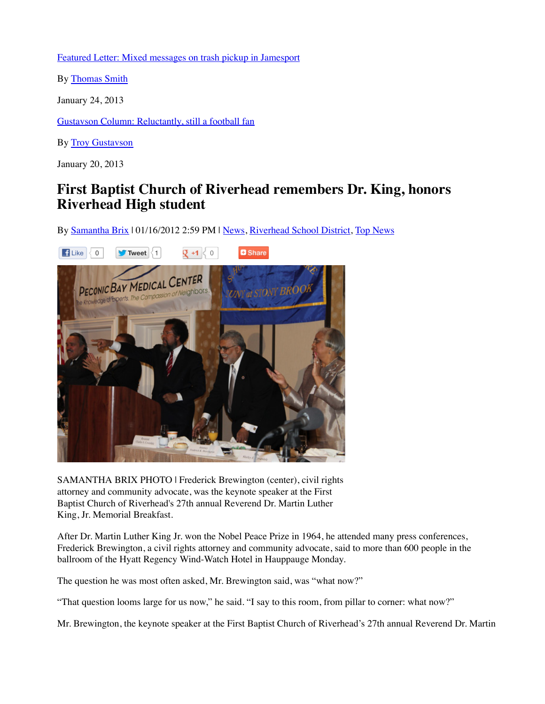## **First Baptist Church of Riverhead remembers Dr. King, honors Riverhead High student**

By Samantha Brix | 01/16/2012 2:59 PM | News, Riverhead School District, Top News



January 20, 2013

SAMANTHA BRIX PHOTO | Frederick Brewington (center), civil rights attorney and community advocate, was the keynote speaker at the First Baptist Church of Riverhead's 27th annual Reverend Dr. Martin Luther King, Jr. Memorial Breakfast.

After Dr. Martin Luther King Jr. won the Nobel Peace Prize in 1964, he attended many press conferences, Frederick Brewington, a civil rights attorney and community advocate, said to more than 600 people in the ballroom of the Hyatt Regency Wind-Watch Hotel in Hauppauge Monday.

The question he was most often asked, Mr. Brewington said, was "what now?"

"That question looms large for us now," he said. "I say to this room, from pillar to corner: what now?"

Mr. Brewington, the keynote speaker at the First Baptist Church of Riverhead's 27th annual Reverend Dr. Martin